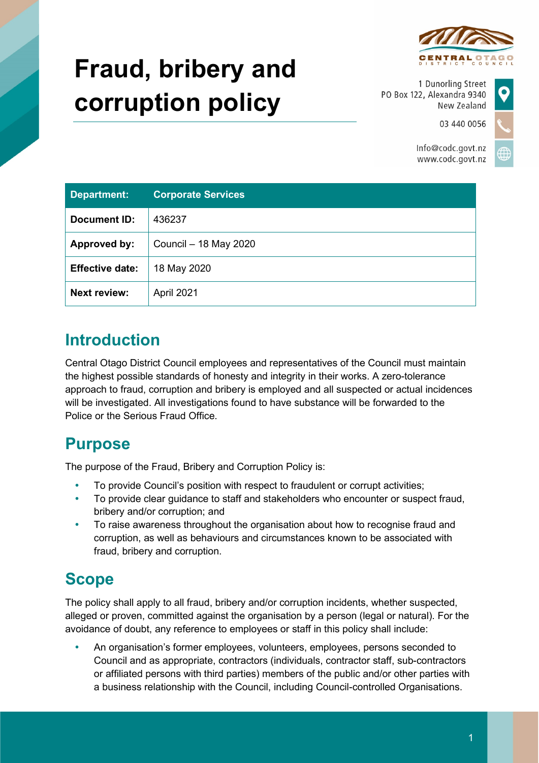

# **Fraud, bribery and corruption policy**

1 Dunorling Street PO Box 122, Alexandra 9340 New Zealand

03 440 0056

Info@codc.govt.nz www.codc.govt.nz

| <b>Department:</b>     | <b>Corporate Services</b> |
|------------------------|---------------------------|
| <b>Document ID:</b>    | 436237                    |
| Approved by:           | Council - 18 May 2020     |
| <b>Effective date:</b> | 18 May 2020               |
| <b>Next review:</b>    | April 2021                |

## **Introduction**

Central Otago District Council employees and representatives of the Council must maintain the highest possible standards of honesty and integrity in their works. A zero-tolerance approach to fraud, corruption and bribery is employed and all suspected or actual incidences will be investigated. All investigations found to have substance will be forwarded to the Police or the Serious Fraud Office.

## **Purpose**

The purpose of the Fraud, Bribery and Corruption Policy is:

- To provide Council's position with respect to fraudulent or corrupt activities;
- To provide clear guidance to staff and stakeholders who encounter or suspect fraud, bribery and/or corruption; and
- To raise awareness throughout the organisation about how to recognise fraud and corruption, as well as behaviours and circumstances known to be associated with fraud, bribery and corruption.

# **Scope**

The policy shall apply to all fraud, bribery and/or corruption incidents, whether suspected, alleged or proven, committed against the organisation by a person (legal or natural). For the avoidance of doubt, any reference to employees or staff in this policy shall include:

 An organisation's former employees, volunteers, employees, persons seconded to Council and as appropriate, contractors (individuals, contractor staff, sub-contractors or affiliated persons with third parties) members of the public and/or other parties with a business relationship with the Council, including Council-controlled Organisations.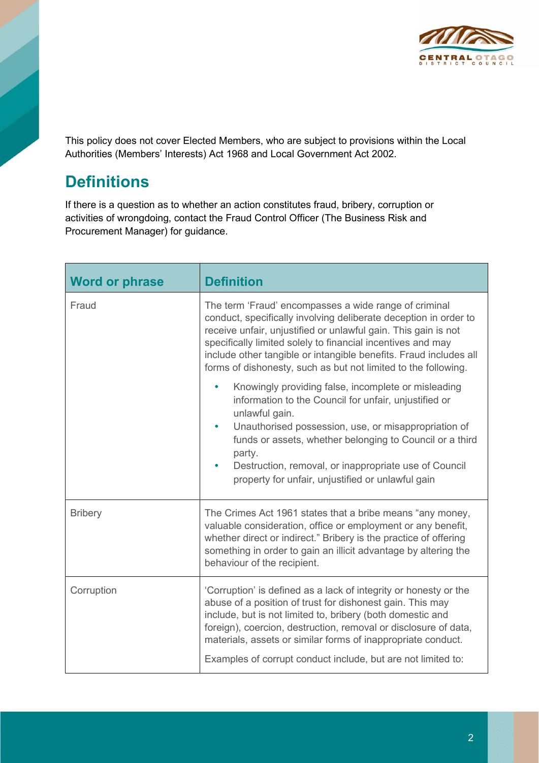

This policy does not cover Elected Members, who are subject to provisions within the Local Authorities (Members' Interests) Act 1968 and Local Government Act 2002.

## **Definitions**

If there is a question as to whether an action constitutes fraud, bribery, corruption or activities of wrongdoing, contact the Fraud Control Officer (The Business Risk and Procurement Manager) for guidance.

| <b>Word or phrase</b> | <b>Definition</b>                                                                                                                                                                                                                                                                                                                                                                                 |
|-----------------------|---------------------------------------------------------------------------------------------------------------------------------------------------------------------------------------------------------------------------------------------------------------------------------------------------------------------------------------------------------------------------------------------------|
| Fraud                 | The term 'Fraud' encompasses a wide range of criminal<br>conduct, specifically involving deliberate deception in order to<br>receive unfair, unjustified or unlawful gain. This gain is not<br>specifically limited solely to financial incentives and may<br>include other tangible or intangible benefits. Fraud includes all<br>forms of dishonesty, such as but not limited to the following. |
|                       | Knowingly providing false, incomplete or misleading<br>$\bullet$<br>information to the Council for unfair, unjustified or<br>unlawful gain.<br>Unauthorised possession, use, or misappropriation of<br>funds or assets, whether belonging to Council or a third<br>party.<br>Destruction, removal, or inappropriate use of Council<br>property for unfair, unjustified or unlawful gain           |
| <b>Bribery</b>        | The Crimes Act 1961 states that a bribe means "any money,<br>valuable consideration, office or employment or any benefit,<br>whether direct or indirect." Bribery is the practice of offering<br>something in order to gain an illicit advantage by altering the<br>behaviour of the recipient.                                                                                                   |
| Corruption            | 'Corruption' is defined as a lack of integrity or honesty or the<br>abuse of a position of trust for dishonest gain. This may<br>include, but is not limited to, bribery (both domestic and<br>foreign), coercion, destruction, removal or disclosure of data,<br>materials, assets or similar forms of inappropriate conduct.<br>Examples of corrupt conduct include, but are not limited to:    |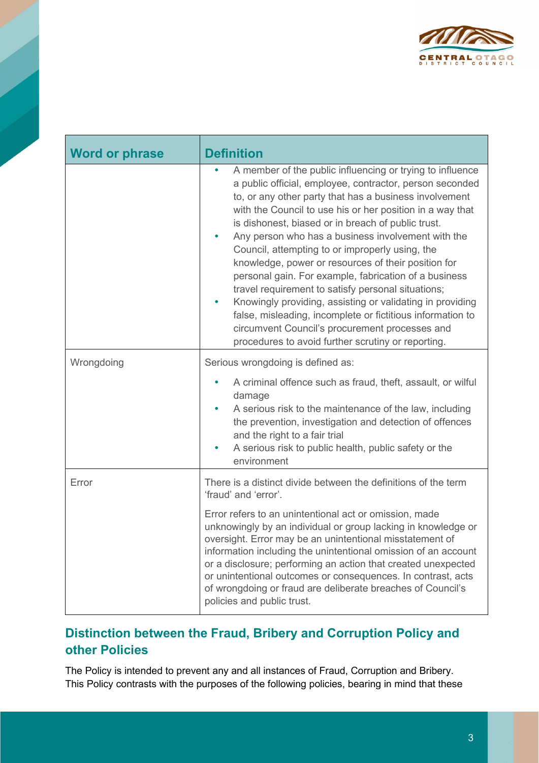

| <b>Word or phrase</b> | <b>Definition</b>                                                                                                                                                                                                                                                                                                                                                                                                                                                                                                                                                                                                                                                                                                                                                                                                                 |
|-----------------------|-----------------------------------------------------------------------------------------------------------------------------------------------------------------------------------------------------------------------------------------------------------------------------------------------------------------------------------------------------------------------------------------------------------------------------------------------------------------------------------------------------------------------------------------------------------------------------------------------------------------------------------------------------------------------------------------------------------------------------------------------------------------------------------------------------------------------------------|
|                       | A member of the public influencing or trying to influence<br>a public official, employee, contractor, person seconded<br>to, or any other party that has a business involvement<br>with the Council to use his or her position in a way that<br>is dishonest, biased or in breach of public trust.<br>Any person who has a business involvement with the<br>Council, attempting to or improperly using, the<br>knowledge, power or resources of their position for<br>personal gain. For example, fabrication of a business<br>travel requirement to satisfy personal situations;<br>Knowingly providing, assisting or validating in providing<br>$\bullet$<br>false, misleading, incomplete or fictitious information to<br>circumvent Council's procurement processes and<br>procedures to avoid further scrutiny or reporting. |
| Wrongdoing            | Serious wrongdoing is defined as:                                                                                                                                                                                                                                                                                                                                                                                                                                                                                                                                                                                                                                                                                                                                                                                                 |
|                       | A criminal offence such as fraud, theft, assault, or wilful<br>damage<br>A serious risk to the maintenance of the law, including<br>the prevention, investigation and detection of offences<br>and the right to a fair trial<br>A serious risk to public health, public safety or the<br>environment                                                                                                                                                                                                                                                                                                                                                                                                                                                                                                                              |
| Error                 | There is a distinct divide between the definitions of the term<br>'fraud' and 'error'.                                                                                                                                                                                                                                                                                                                                                                                                                                                                                                                                                                                                                                                                                                                                            |
|                       | Error refers to an unintentional act or omission, made<br>unknowingly by an individual or group lacking in knowledge or<br>oversight. Error may be an unintentional misstatement of<br>information including the unintentional omission of an account<br>or a disclosure; performing an action that created unexpected<br>or unintentional outcomes or consequences. In contrast, acts<br>of wrongdoing or fraud are deliberate breaches of Council's<br>policies and public trust.                                                                                                                                                                                                                                                                                                                                               |

#### **Distinction between the Fraud, Bribery and Corruption Policy and other Policies**

The Policy is intended to prevent any and all instances of Fraud, Corruption and Bribery. This Policy contrasts with the purposes of the following policies, bearing in mind that these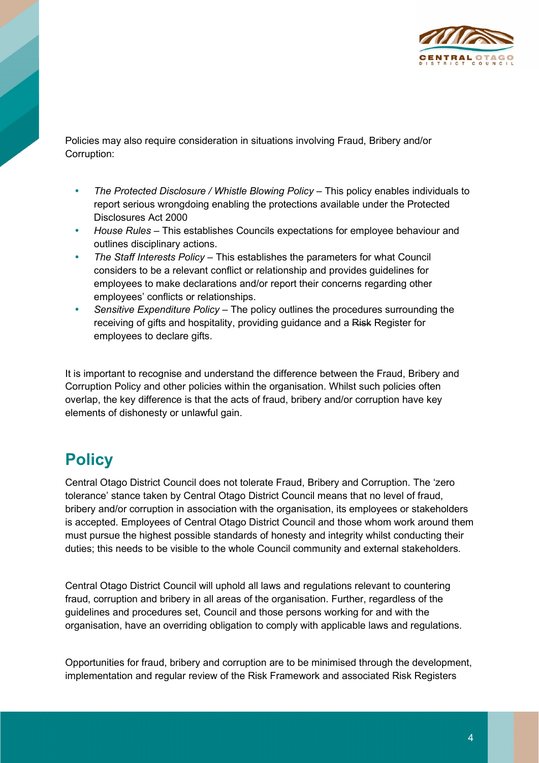

Policies may also require consideration in situations involving Fraud, Bribery and/or Corruption:

- The Protected Disclosure / Whistle Blowing Policy This policy enables individuals to report serious wrongdoing enabling the protections available under the Protected Disclosures Act 2000
- *House Rules* This establishes Councils expectations for employee behaviour and outlines disciplinary actions.
- *The Staff Interests Policy –* This establishes the parameters for what Council considers to be a relevant conflict or relationship and provides guidelines for employees to make declarations and/or report their concerns regarding other employees' conflicts or relationships.
- *Sensitive Expenditure Policy –* The policy outlines the procedures surrounding the receiving of gifts and hospitality, providing guidance and a Risk Register for employees to declare gifts.

It is important to recognise and understand the difference between the Fraud, Bribery and Corruption Policy and other policies within the organisation. Whilst such policies often overlap, the key difference is that the acts of fraud, bribery and/or corruption have key elements of dishonesty or unlawful gain.

## **Policy**

Central Otago District Council does not tolerate Fraud, Bribery and Corruption. The 'zero tolerance' stance taken by Central Otago District Council means that no level of fraud, bribery and/or corruption in association with the organisation, its employees or stakeholders is accepted. Employees of Central Otago District Council and those whom work around them must pursue the highest possible standards of honesty and integrity whilst conducting their duties; this needs to be visible to the whole Council community and external stakeholders.

Central Otago District Council will uphold all laws and regulations relevant to countering fraud, corruption and bribery in all areas of the organisation. Further, regardless of the guidelines and procedures set, Council and those persons working for and with the organisation, have an overriding obligation to comply with applicable laws and regulations.

Opportunities for fraud, bribery and corruption are to be minimised through the development, implementation and regular review of the Risk Framework and associated Risk Registers